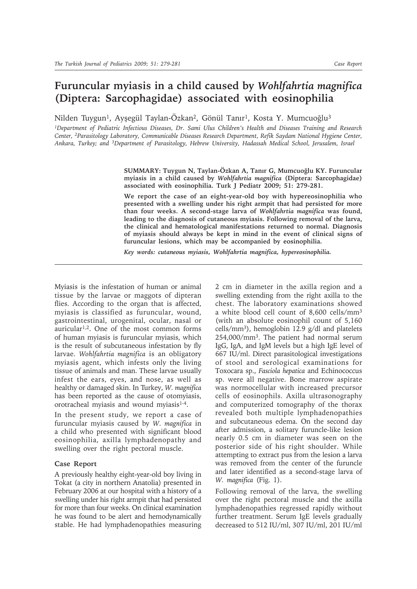## **Furuncular myiasis in a child caused by** *Wohlfahrtia magnifica* **(Diptera: Sarcophagidae) associated with eosinophilia**

Nilden Tuygun<sup>1</sup>, Ayşegül Taylan-Özkan<sup>2</sup>, Gönül Tanır<sup>1</sup>, Kosta Y. Mumcuoğlu<sup>3</sup>

*1Department of Pediatric Infectious Diseases, Dr. Sami Ulus Children's Health and Diseases Training and Research Center, 2Parasitology Laboratory, Communicable Diseases Research Department, Refik Saydam National Hygiene Center, Ankara, Turkey; and 3Department of Parasitology, Hebrew University, Hadassah Medical School, Jerusalem, Israel*

> **SUMMARY: Tuygun N, Taylan-Özkan A, Tanır G, Mumcuoğlu KY. Furuncular myiasis in a child caused by** *Wohlfahrtia magnifica* **(Diptera: Sarcophagidae) associated with eosinophilia. Turk J Pediatr 2009; 51: 279-281.**

> **We report the case of an eight-year-old boy with hypereosinophilia who presented with a swelling under his right armpit that had persisted for more than four weeks. A second-stage larva of** *Wohlfahrtia magnifica* **was found, leading to the diagnosis of cutaneous myiasis. Following removal of the larva, the clinical and hematological manifestations returned to normal. Diagnosis of myiasis should always be kept in mind in the event of clinical signs of furuncular lesions, which may be accompanied by eosinophilia.**

*Key words: cutaneous myiasis, Wohlfahrtia magnifica, hypereosinophilia.*

Myiasis is the infestation of human or animal tissue by the larvae or maggots of dipteran flies. According to the organ that is affected, myiasis is classified as furuncular, wound, gastrointestinal, urogenital, ocular, nasal or auricular<sup>1,2</sup>. One of the most common forms of human myiasis is furuncular myiasis, which is the result of subcutaneous infestation by fly larvae. *Wohlfahrtia magnifica* is an obligatory myiasis agent, which infests only the living tissue of animals and man. These larvae usually infest the ears, eyes, and nose, as well as healthy or damaged skin. In Turkey, *W. magnifica* has been reported as the cause of otomyiasis, orotracheal myiasis and wound myiasis<sup>1-4</sup>.

In the present study, we report a case of furuncular myiasis caused by *W. magnifica* in a child who presented with significant blood eosinophilia, axilla lymphadenopathy and swelling over the right pectoral muscle.

## **Case Report**

A previously healthy eight-year-old boy living in Tokat (a city in northern Anatolia) presented in February 2006 at our hospital with a history of a swelling under his right armpit that had persisted for more than four weeks. On clinical examination he was found to be alert and hemodynamically stable. He had lymphadenopathies measuring

2 cm in diameter in the axilla region and a swelling extending from the right axilla to the chest. The laboratory examinations showed a white blood cell count of 8,600 cells/mm3 (with an absolute eosinophil count of 5,160 cells/mm<sup>3</sup>), hemoglobin 12.9  $g/dl$  and platelets 254,000/mm3. The patient had normal serum IgG, IgA, and IgM levels but a high IgE level of 667 IU/ml. Direct parasitological investigations of stool and serological examinations for Toxocara sp., *Fasciola hepatica* and Echinococcus sp. were all negative. Bone marrow aspirate was normocellular with increased precursor cells of eosinophils. Axilla ultrasonography and computerized tomography of the thorax revealed both multiple lymphadenopathies and subcutaneous edema. On the second day after admission, a solitary furuncle-like lesion nearly 0.5 cm in diameter was seen on the posterior side of his right shoulder. While attempting to extract pus from the lesion a larva was removed from the center of the furuncle and later identified as a second-stage larva of *W. magnifica* (Fig. 1).

Following removal of the larva, the swelling over the right pectoral muscle and the axilla lymphadenopathies regressed rapidly without further treatment. Serum IgE levels gradually decreased to 512 IU/ml, 307 IU/ml, 201 IU/ml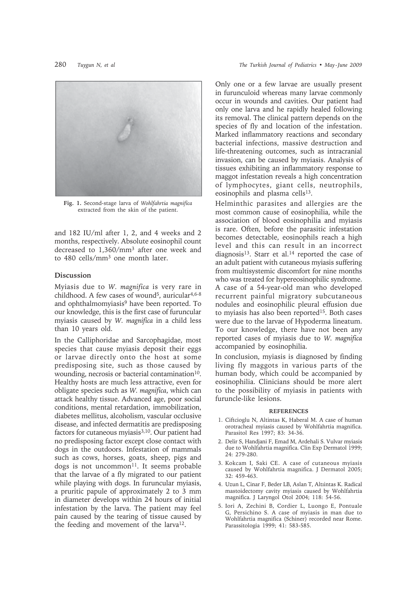

**Fig. 1.** Second-stage larva of *Wohlfahrtia magnifica* extracted from the skin of the patient.

and 182 IU/ml after 1, 2, and 4 weeks and 2 months, respectively. Absolute eosinophil count decreased to 1,360/mm3 after one week and to 480 cells/mm3 one month later.

## **Discussion**

Myiasis due to *W. magnifica* is very rare in childhood. A few cases of wound<sup>5</sup>, auricular<sup>4,6-8</sup> and ophthalmomyiasis<sup>9</sup> have been reported. To our knowledge, this is the first case of furuncular myiasis caused by *W. magnifica* in a child less than 10 years old.

In the Calliphoridae and Sarcophagidae, most species that cause myiasis deposit their eggs or larvae directly onto the host at some predisposing site, such as those caused by wounding, necrosis or bacterial contamination $10$ . Healthy hosts are much less attractive, even for obligate species such as *W. magnifica*, which can attack healthy tissue. Advanced age, poor social conditions, mental retardation, immobilization, diabetes mellitus, alcoholism, vascular occlusive disease, and infected dermatitis are predisposing factors for cutaneous myiasis<sup>3,10</sup>. Our patient had no predisposing factor except close contact with dogs in the outdoors. Infestation of mammals such as cows, horses, goats, sheep, pigs and dogs is not uncommon<sup>11</sup>. It seems probable that the larvae of a fly migrated to our patient while playing with dogs. In furuncular myiasis, a pruritic papule of approximately 2 to 3 mm in diameter develops within 24 hours of initial infestation by the larva. The patient may feel pain caused by the tearing of tissue caused by the feeding and movement of the larva<sup>12</sup>.

Only one or a few larvae are usually present in furunculoid whereas many larvae commonly occur in wounds and cavities. Our patient had only one larva and he rapidly healed following its removal. The clinical pattern depends on the species of fly and location of the infestation. Marked inflammatory reactions and secondary bacterial infections, massive destruction and life-threatening outcomes, such as intracranial invasion, can be caused by myiasis. Analysis of tissues exhibiting an inflammatory response to maggot infestation reveals a high concentration of lymphocytes, giant cells, neutrophils, eosinophils and plasma cells<sup>13</sup>.

Helminthic parasites and allergies are the most common cause of eosinophilia, while the association of blood eosinophilia and myiasis is rare. Often, before the parasitic infestation becomes detectable, eosinophils reach a high level and this can result in an incorrect diagnosis<sup>13</sup>. Starr et al.<sup>14</sup> reported the case of an adult patient with cutaneous myiasis suffering from multisystemic discomfort for nine months who was treated for hypereosinophilic syndrome. A case of a 54-year-old man who developed recurrent painful migratory subcutaneous nodules and eosinophilic pleural effusion due to myiasis has also been reported<sup>15</sup>. Both cases were due to the larvae of Hypoderma lineatum. To our knowledge, there have not been any reported cases of myiasis due to *W. magnifica* accompanied by eosinophilia.

In conclusion, myiasis is diagnosed by finding living fly maggots in various parts of the human body, which could be accompanied by eosinophilia. Clinicians should be more alert to the possibility of myiasis in patients with furuncle-like lesions.

## **REFERENCES**

- 1. Ciftcioglu N, Altintas K, Haberal M. A case of human orotracheal myiasis caused by Wohlfahrtia magnifica. Parasitol Res 1997; 83: 34-36.
- 2. Delir S, Handjani F, Emad M, Ardehali S. Vulvar myiasis due to Wohlfahrtia magnifica. Clin Exp Dermatol 1999; 24: 279-280.
- 3. Kokcam I, Saki CE. A case of cutaneous myiasis caused by Wohlfahrtia magnifica. J Dermatol 2005; 32: 459-463.
- 4. Uzun L, Cinar F, Beder LB, Aslan T, Altıintas K. Radical mastoidectomy cavity myiasis caused by Wohlfahrtia magnifica. J Laryngol Otol 2004; 118: 54-56.
- 5. Iori A, Zechini B, Cordier L, Luongo E, Pontuale G, Persichino S. A case of myiasis in man due to Wohlfahrtia magnifica (Schiner) recorded near Rome. Parassitologia 1999; 41: 583-585.